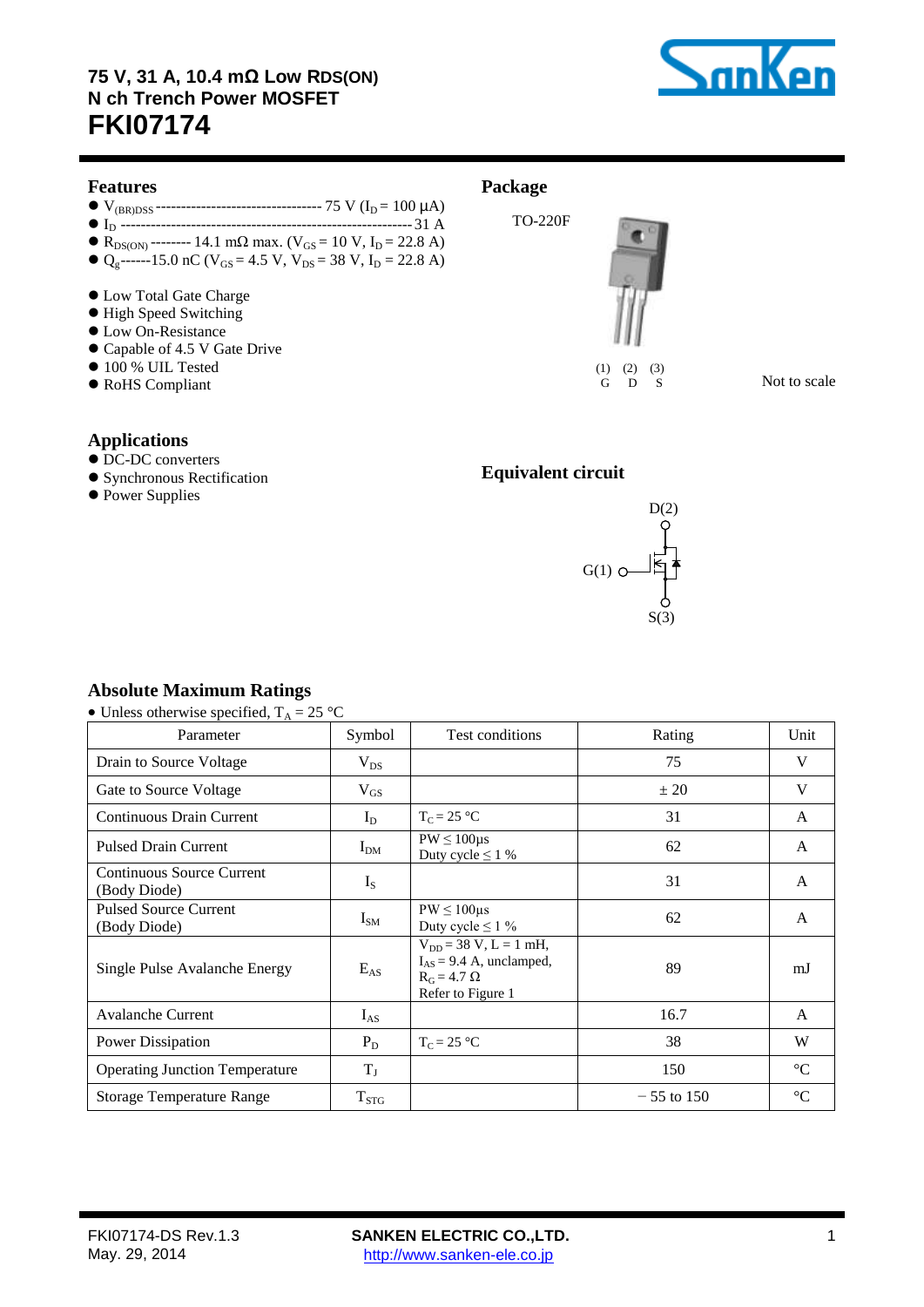

### **Features**

- V(BR)DSS --------------------------------- 75 V (I<sup>D</sup> = 100 µA)
- I<sup>D</sup> ----------------------------------------------------------31 A
- $\bullet$  R<sub>DS(ON)</sub> -------- 14.1 mΩ max. (V<sub>GS</sub> = 10 V, I<sub>D</sub> = 22.8 A)  $Q_g$ ------15.0 nC (V<sub>GS</sub> = 4.5 V, V<sub>DS</sub> = 38 V, I<sub>D</sub> = 22.8 A)
- Low Total Gate Charge
- $\bullet$  High Speed Switching
- Low On-Resistance
- Capable of 4.5 V Gate Drive
- $\bullet$  100 % UIL Tested
- RoHS Compliant

# **Package**

TO-220F



 $(1)$   $(2)$   $(3)$ G D S

Not to scale

### **Applications**

- $\bullet$  DC-DC converters
- **Synchronous Rectification**
- Power Supplies

# **Equivalent circuit**



### **Absolute Maximum Ratings**

| • Unless otherwise specified, $T_A = 25$ °C |  |
|---------------------------------------------|--|
|---------------------------------------------|--|

| Parameter                                    | Symbol    | Test conditions                                                                                       | Rating       | Unit            |
|----------------------------------------------|-----------|-------------------------------------------------------------------------------------------------------|--------------|-----------------|
| Drain to Source Voltage                      | $V_{DS}$  |                                                                                                       | 75           | V               |
| Gate to Source Voltage                       | $V_{GS}$  |                                                                                                       | ± 20         | V               |
| <b>Continuous Drain Current</b>              | $I_D$     | $T_C = 25 °C$                                                                                         | 31           | $\mathsf{A}$    |
| <b>Pulsed Drain Current</b>                  | $I_{DM}$  | $PW \leq 100 \mu s$<br>Duty cycle $\leq 1$ %                                                          | 62           | A               |
| Continuous Source Current<br>(Body Diode)    | $I_{S}$   |                                                                                                       | 31           | A               |
| <b>Pulsed Source Current</b><br>(Body Diode) | $I_{SM}$  | $PW \leq 100 \mu s$<br>Duty cycle $\leq 1 \%$                                                         | 62           | $\mathsf{A}$    |
| Single Pulse Avalanche Energy                | $E_{AS}$  | $V_{DD} = 38 V, L = 1 mH,$<br>$I_{AS} = 9.4$ A, unclamped,<br>$R_G = 4.7 \Omega$<br>Refer to Figure 1 | 89           | mJ              |
| <b>Avalanche Current</b>                     | $I_{AS}$  |                                                                                                       | 16.7         | $\mathsf{A}$    |
| Power Dissipation                            | $P_D$     | $T_C = 25$ °C                                                                                         | 38           | W               |
| <b>Operating Junction Temperature</b>        | $T_{J}$   |                                                                                                       | 150          | $\rm ^{\circ}C$ |
| <b>Storage Temperature Range</b>             | $T_{STG}$ |                                                                                                       | $-55$ to 150 | $\rm ^{\circ}C$ |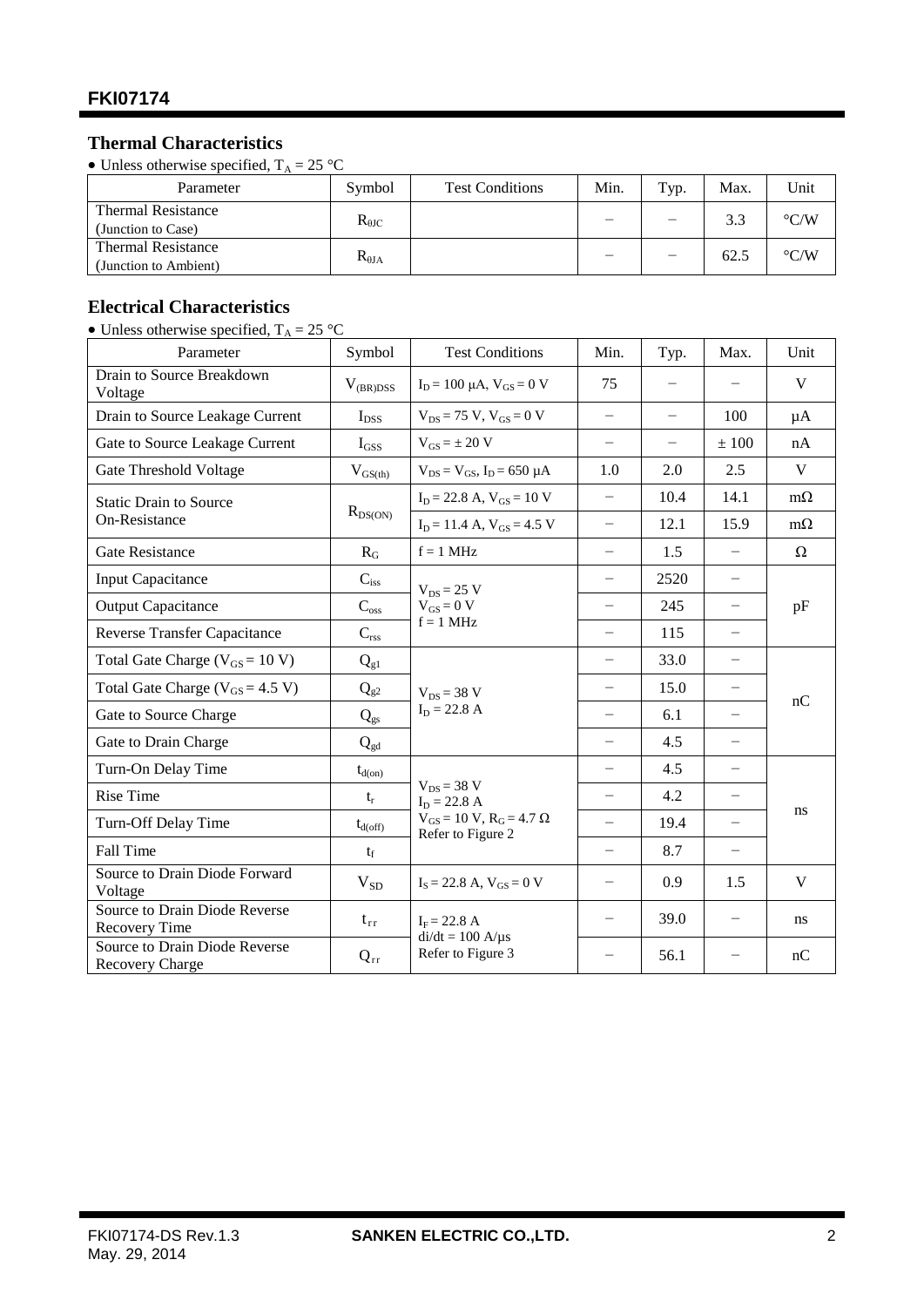# **Thermal Characteristics**

• Unless otherwise specified,  $T_A = 25$  °C

| Parameter                                          | Symbol          | <b>Test Conditions</b> | Min. | Typ.                     | Max. | Unit               |
|----------------------------------------------------|-----------------|------------------------|------|--------------------------|------|--------------------|
| <b>Thermal Resistance</b><br>(Junction to Case)    | $R_{\theta$ JC  |                        | _    | $\overline{\phantom{0}}$ | 3.3  | $\rm ^{\circ} C/W$ |
| <b>Thermal Resistance</b><br>(Junction to Ambient) | $R_{\theta JA}$ |                        |      | $\qquad \qquad -$        | 62.5 | $\rm ^{\circ} C/W$ |

# **Electrical Characteristics**

• Unless otherwise specified,  $T_A = 25$  °C

| Parameter                                             | Symbol              | <b>Test Conditions</b>                                     | Min.                     | Typ. | Max.                     | Unit         |
|-------------------------------------------------------|---------------------|------------------------------------------------------------|--------------------------|------|--------------------------|--------------|
| Drain to Source Breakdown<br>Voltage                  | $V_{(BR)DSS}$       | $I_D = 100 \mu A$ , $V_{GS} = 0 V$                         | 75                       |      |                          | V            |
| Drain to Source Leakage Current                       | $I_{DSS}$           | $V_{DS}$ = 75 V, $V_{GS}$ = 0 V                            | $\overline{\phantom{0}}$ |      | 100                      | μA           |
| Gate to Source Leakage Current                        | $I_{GSS}$           | $V_{GS} = \pm 20 V$                                        | $\overline{\phantom{0}}$ |      | ± 100                    | nA           |
| Gate Threshold Voltage                                | $V_{GS(th)}$        | $V_{DS} = V_{GS}$ , $I_D = 650 \mu A$                      | 1.0                      | 2.0  | 2.5                      | $\mathbf{V}$ |
| <b>Static Drain to Source</b>                         |                     | $I_D = 22.8$ A, $V_{GS} = 10$ V                            | $\overline{\phantom{0}}$ | 10.4 | 14.1                     | $m\Omega$    |
| On-Resistance                                         | $R_{DS(ON)}$        | $I_D = 11.4$ A, $V_{GS} = 4.5$ V                           | $\overline{\phantom{0}}$ | 12.1 | 15.9                     | $m\Omega$    |
| <b>Gate Resistance</b>                                | $R_G$               | $f = 1$ MHz                                                |                          | 1.5  |                          | $\Omega$     |
| <b>Input Capacitance</b>                              | $C_{iss}$           | $V_{DS}$ = 25 V                                            |                          | 2520 | $\overline{\phantom{m}}$ |              |
| <b>Output Capacitance</b>                             | $C_{\rm oss}$       | $V_{GS} = 0 V$                                             | $\qquad \qquad -$        | 245  | $\qquad \qquad -$        | pF           |
| <b>Reverse Transfer Capacitance</b>                   | $C_{\rm rss}$       | $f = 1$ MHz                                                |                          | 115  | $\overline{\phantom{0}}$ |              |
| Total Gate Charge ( $V_{GS}$ = 10 V)                  | $Q_{g1}$            |                                                            |                          | 33.0 |                          |              |
| Total Gate Charge ( $V_{GS}$ = 4.5 V)                 | $Q_{g2}$            | $V_{DS}$ = 38 V<br>$I_D = 22.8 A$                          | $\overline{\phantom{0}}$ | 15.0 |                          |              |
| Gate to Source Charge                                 | $Q_{gs}$            |                                                            | $\overline{\phantom{0}}$ | 6.1  | $\overline{\phantom{0}}$ | nC           |
| Gate to Drain Charge                                  | $Q_{gd}$            |                                                            | $\overline{\phantom{0}}$ | 4.5  | $\overline{\phantom{0}}$ |              |
| Turn-On Delay Time                                    | $t_{d(0n)}$         |                                                            | $\overline{\phantom{0}}$ | 4.5  | $\overline{\phantom{0}}$ |              |
| <b>Rise Time</b>                                      | $t_{r}$             | $V_{DS}$ = 38 V<br>$I_D = 22.8 A$                          | $\overline{\phantom{0}}$ | 4.2  |                          |              |
| Turn-Off Delay Time                                   | $t_{d(\text{off})}$ | $V_{GS}$ = 10 V, $R_G$ = 4.7 $\Omega$<br>Refer to Figure 2 | $\overline{\phantom{0}}$ | 19.4 | $\overline{\phantom{0}}$ | ns           |
| Fall Time                                             | $t_{\rm f}$         |                                                            |                          | 8.7  | $\overline{\phantom{0}}$ |              |
| Source to Drain Diode Forward<br>Voltage              | $V_{SD}$            | $I_s = 22.8$ A, $V_{GS} = 0$ V                             |                          | 0.9  | 1.5                      | $\mathbf{V}$ |
| Source to Drain Diode Reverse<br><b>Recovery Time</b> | $t_{rr}$            | $I_F = 22.8 A$<br>$di/dt = 100 A/\mu s$                    |                          | 39.0 |                          | ns.          |
| Source to Drain Diode Reverse<br>Recovery Charge      | $Q_{rr}$            | Refer to Figure 3                                          |                          | 56.1 |                          | nC           |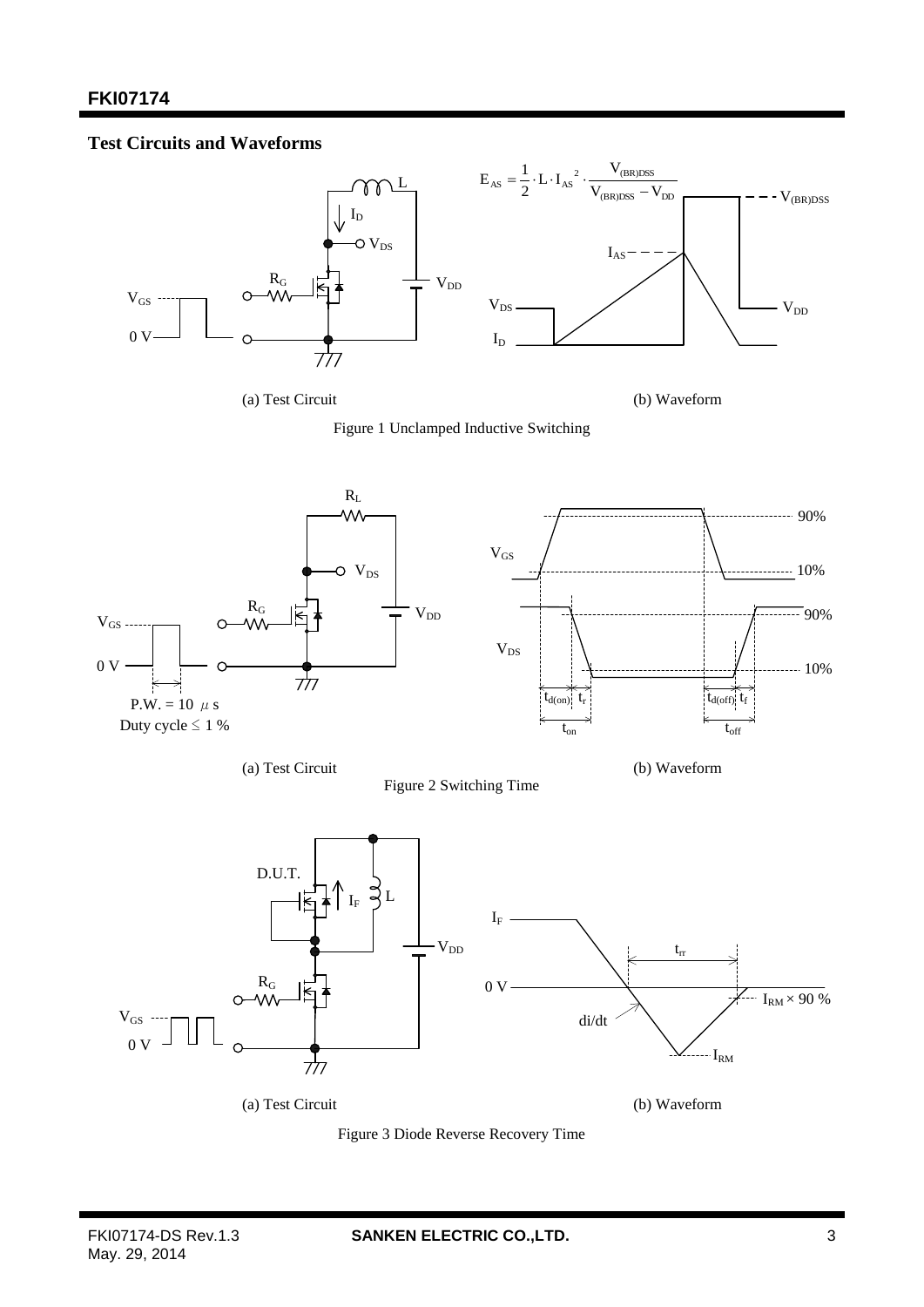## **Test Circuits and Waveforms**



(a) Test Circuit (b) Waveform





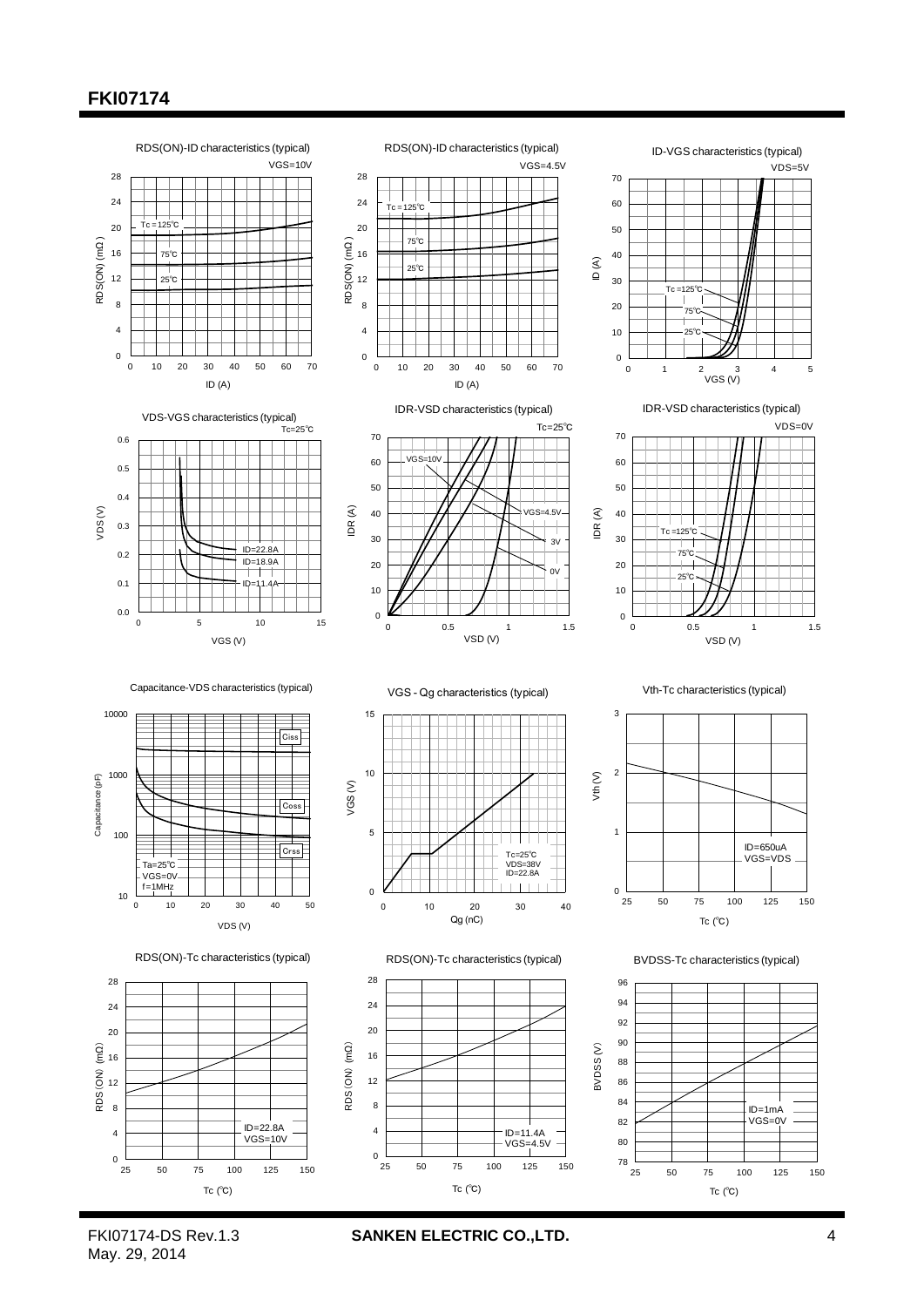# **FKI07174**



May. 29, 2014

FKI07174-DS Rev.1.3 **SANKEN ELECTRIC CO.,LTD.** 4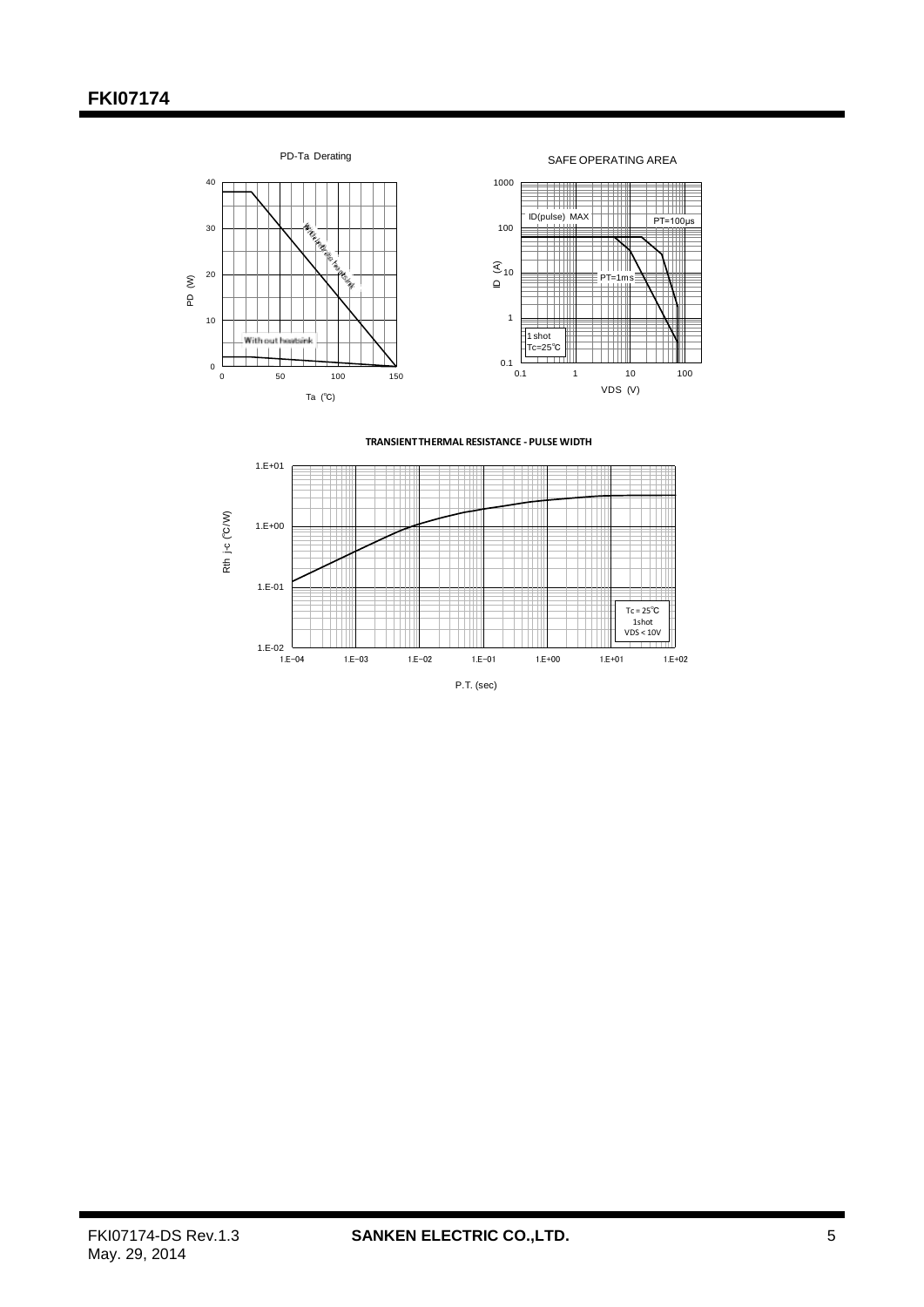



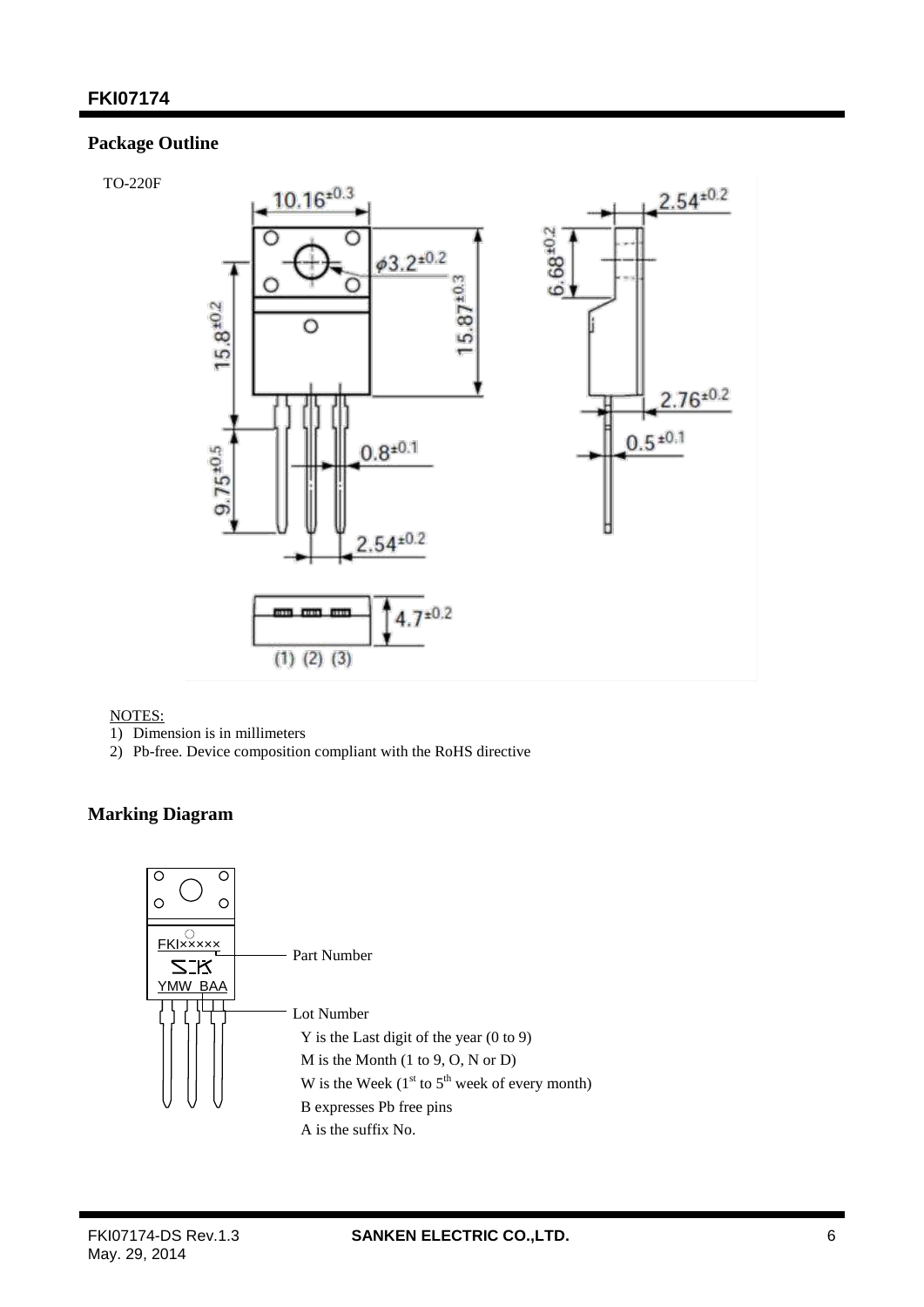## **Package Outline**

TO-220F



### NOTES:

- 1) Dimension is in millimeters
- 2) Pb-free. Device composition compliant with the RoHS directive

## **Marking Diagram**

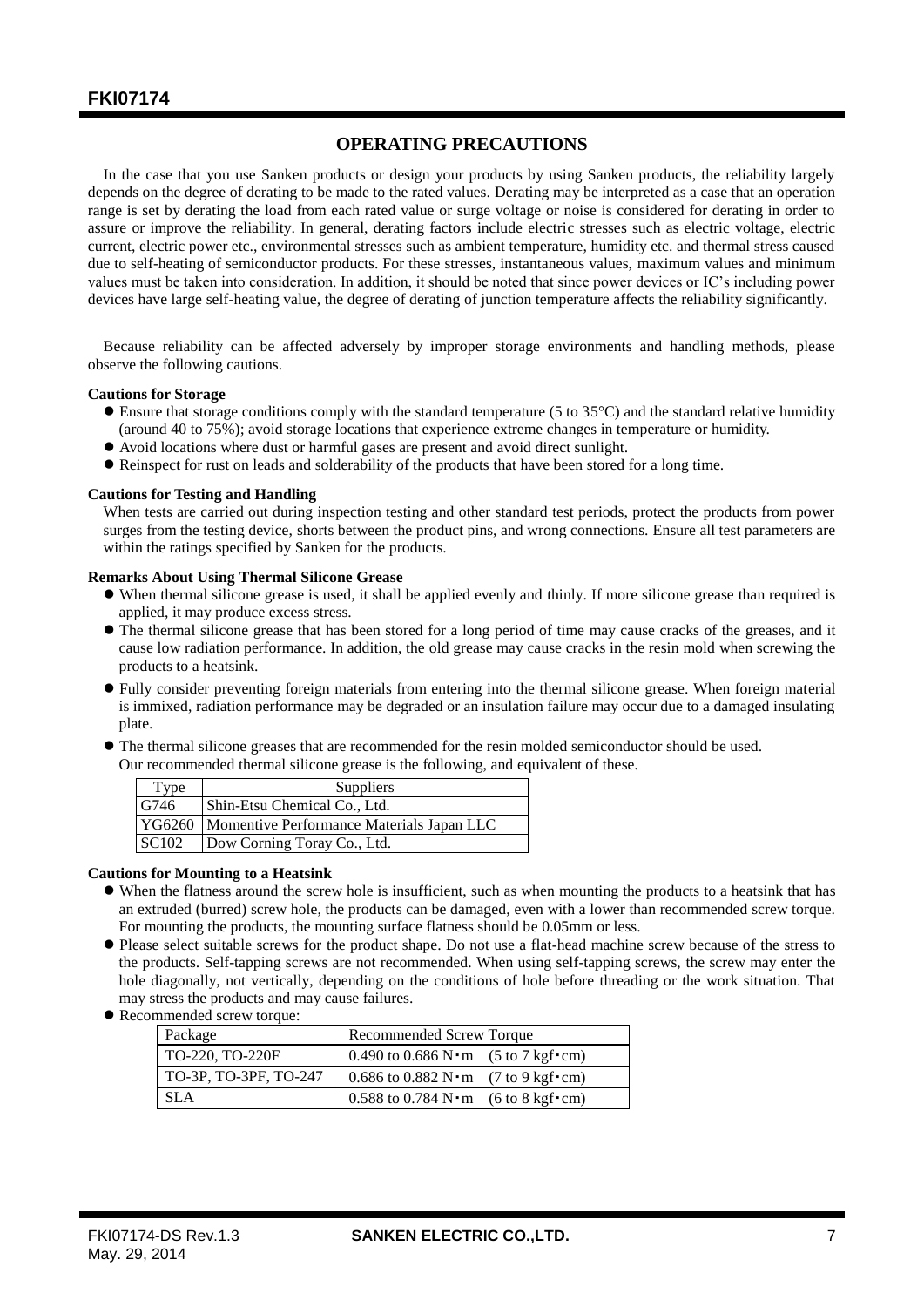### **OPERATING PRECAUTIONS**

In the case that you use Sanken products or design your products by using Sanken products, the reliability largely depends on the degree of derating to be made to the rated values. Derating may be interpreted as a case that an operation range is set by derating the load from each rated value or surge voltage or noise is considered for derating in order to assure or improve the reliability. In general, derating factors include electric stresses such as electric voltage, electric current, electric power etc., environmental stresses such as ambient temperature, humidity etc. and thermal stress caused due to self-heating of semiconductor products. For these stresses, instantaneous values, maximum values and minimum values must be taken into consideration. In addition, it should be noted that since power devices or IC's including power devices have large self-heating value, the degree of derating of junction temperature affects the reliability significantly.

Because reliability can be affected adversely by improper storage environments and handling methods, please observe the following cautions.

#### **Cautions for Storage**

- Ensure that storage conditions comply with the standard temperature (5 to 35°C) and the standard relative humidity (around 40 to 75%); avoid storage locations that experience extreme changes in temperature or humidity.
- Avoid locations where dust or harmful gases are present and avoid direct sunlight.
- Reinspect for rust on leads and solderability of the products that have been stored for a long time.

#### **Cautions for Testing and Handling**

When tests are carried out during inspection testing and other standard test periods, protect the products from power surges from the testing device, shorts between the product pins, and wrong connections. Ensure all test parameters are within the ratings specified by Sanken for the products.

#### **Remarks About Using Thermal Silicone Grease**

- When thermal silicone grease is used, it shall be applied evenly and thinly. If more silicone grease than required is applied, it may produce excess stress.
- The thermal silicone grease that has been stored for a long period of time may cause cracks of the greases, and it cause low radiation performance. In addition, the old grease may cause cracks in the resin mold when screwing the products to a heatsink.
- Fully consider preventing foreign materials from entering into the thermal silicone grease. When foreign material is immixed, radiation performance may be degraded or an insulation failure may occur due to a damaged insulating plate.
- The thermal silicone greases that are recommended for the resin molded semiconductor should be used. Our recommended thermal silicone grease is the following, and equivalent of these.

| Type         | Suppliers                                          |
|--------------|----------------------------------------------------|
| G746         | Shin-Etsu Chemical Co., Ltd.                       |
|              | YG6260   Momentive Performance Materials Japan LLC |
| <b>SC102</b> | Dow Corning Toray Co., Ltd.                        |

#### **Cautions for Mounting to a Heatsink**

- When the flatness around the screw hole is insufficient, such as when mounting the products to a heatsink that has an extruded (burred) screw hole, the products can be damaged, even with a lower than recommended screw torque. For mounting the products, the mounting surface flatness should be 0.05mm or less.
- Please select suitable screws for the product shape. Do not use a flat-head machine screw because of the stress to the products. Self-tapping screws are not recommended. When using self-tapping screws, the screw may enter the hole diagonally, not vertically, depending on the conditions of hole before threading or the work situation. That may stress the products and may cause failures.
- Recommended screw torque:

| Package               | Recommended Screw Torque                                                 |  |  |
|-----------------------|--------------------------------------------------------------------------|--|--|
| TO-220, TO-220F       | $0.490$ to $0.686$ N · m $(5 \text{ to } 7 \text{ kgf} \cdot \text{cm})$ |  |  |
| TO-3P, TO-3PF, TO-247 | $\vert 0.686$ to $0.882$ N · m (7 to 9 kgf · cm)                         |  |  |
| <b>SLA</b>            | $0.588$ to $0.784$ N · m (6 to 8 kgf · cm)                               |  |  |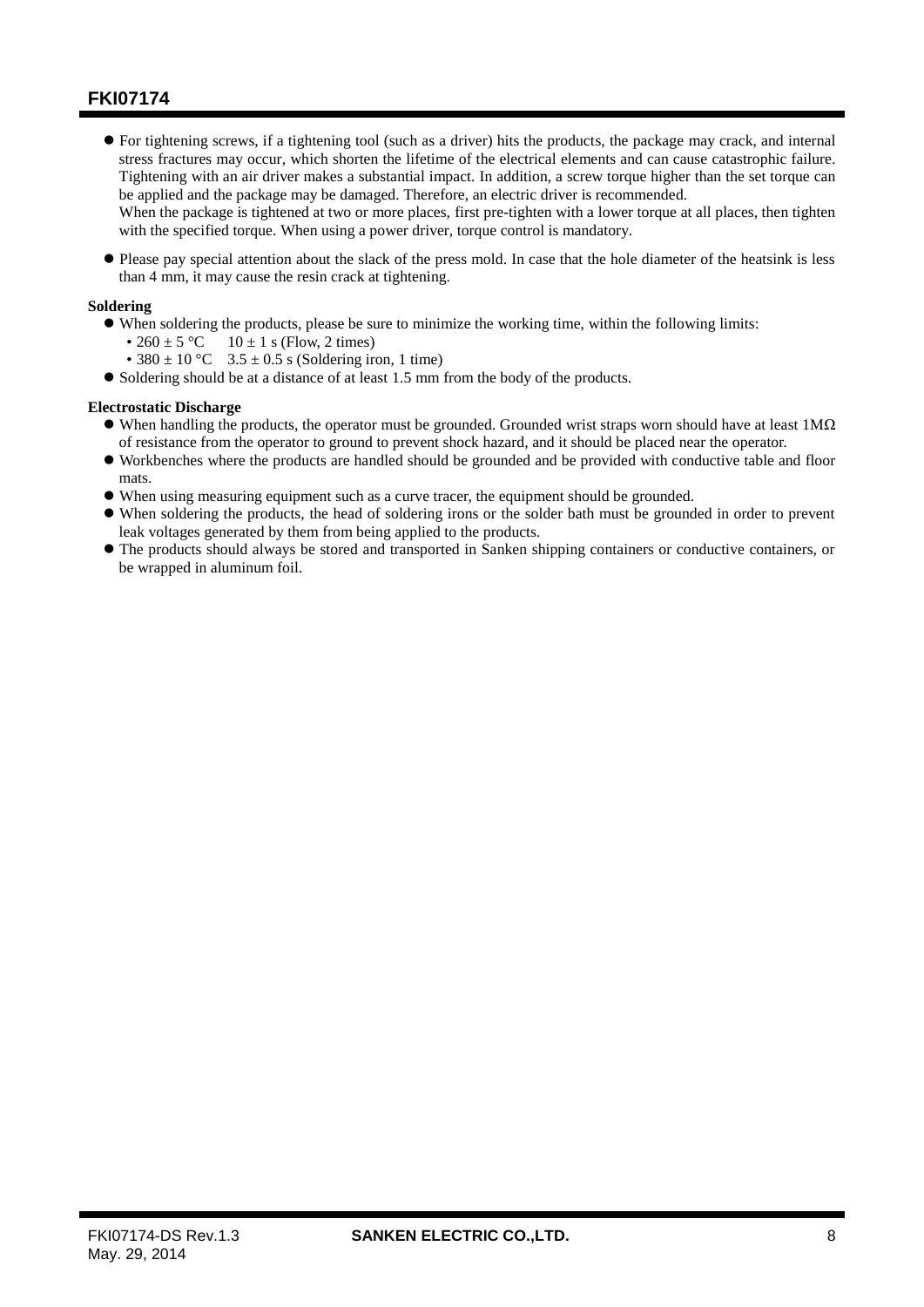For tightening screws, if a tightening tool (such as a driver) hits the products, the package may crack, and internal stress fractures may occur, which shorten the lifetime of the electrical elements and can cause catastrophic failure. Tightening with an air driver makes a substantial impact. In addition, a screw torque higher than the set torque can be applied and the package may be damaged. Therefore, an electric driver is recommended.

When the package is tightened at two or more places, first pre-tighten with a lower torque at all places, then tighten with the specified torque. When using a power driver, torque control is mandatory.

 Please pay special attention about the slack of the press mold. In case that the hole diameter of the heatsink is less than 4 mm, it may cause the resin crack at tightening.

### **Soldering**

- When soldering the products, please be sure to minimize the working time, within the following limits:
	- 260 ± 5 °C 10 ± 1 s (Flow, 2 times)
	- 380  $\pm$  10 °C 3.5  $\pm$  0.5 s (Soldering iron, 1 time)

Soldering should be at a distance of at least 1.5 mm from the body of the products.

### **Electrostatic Discharge**

- $\bullet$  When handling the products, the operator must be grounded. Grounded wrist straps worn should have at least 1M $\Omega$ of resistance from the operator to ground to prevent shock hazard, and it should be placed near the operator.
- Workbenches where the products are handled should be grounded and be provided with conductive table and floor mats.
- When using measuring equipment such as a curve tracer, the equipment should be grounded.
- When soldering the products, the head of soldering irons or the solder bath must be grounded in order to prevent leak voltages generated by them from being applied to the products.
- The products should always be stored and transported in Sanken shipping containers or conductive containers, or be wrapped in aluminum foil.